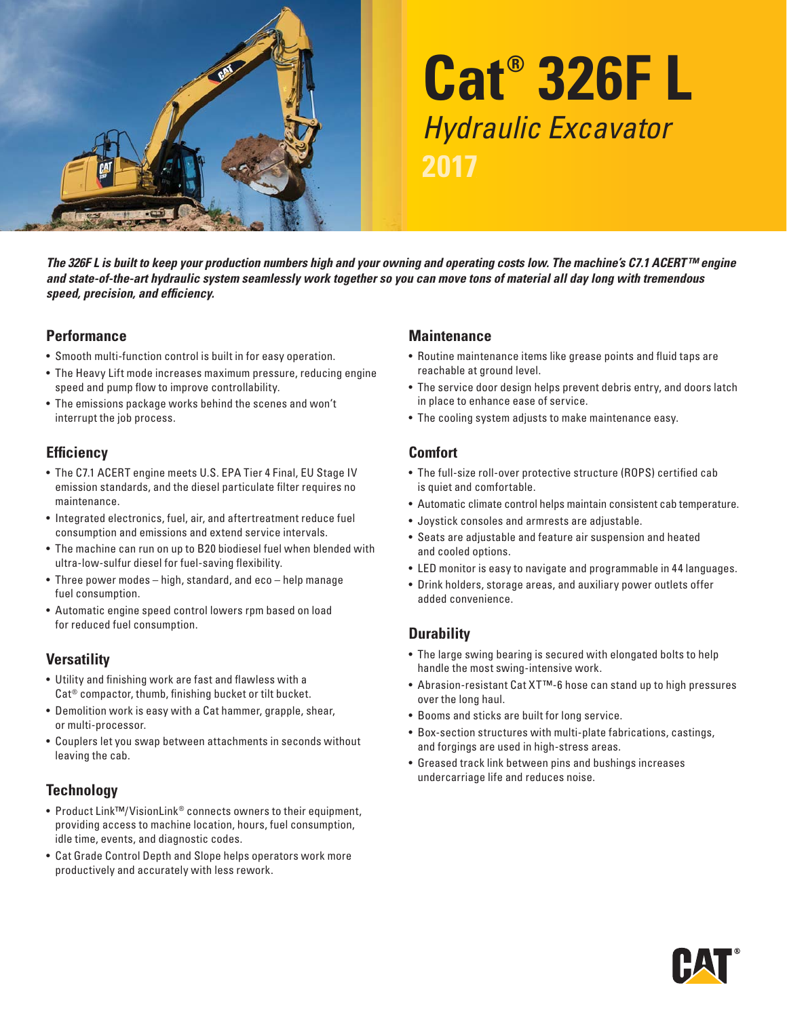

# **Cat® 326F L**  Hydraulic Excavator **2017**

*The 326F L is built to keep your production numbers high and your owning and operating costs low. The machine's C7.1 ACERT ™ engine and state-of-the-art hydraulic system seamlessly work together so you can move tons of material all day long with tremendous speed, precision, and efficiency.* 

#### **Performance**

- Smooth multi-function control is built in for easy operation.
- The Heavy Lift mode increases maximum pressure, reducing engine speed and pump flow to improve controllability.
- The emissions package works behind the scenes and won't interrupt the job process.

#### **Effi ciency**

- The C7.1 ACERT engine meets U.S. EPA Tier 4 Final, EU Stage IV emission standards, and the diesel particulate filter requires no maintenance.
- Integrated electronics, fuel, air, and aftertreatment reduce fuel consumption and emissions and ex tend ser vice inter vals.
- The machine can run on up to B20 biodiesel fuel when blended with ultra-low-sulfur diesel for fuel-saving flexibility.
- Three power modes high, standard, and eco help manage fuel consumption.
- Automatic engine speed control lowers rpm based on load for reduced fuel consumption.

### **Versatility**

- Utility and finishing work are fast and flawless with a Cat® compactor, thumb, finishing bucket or tilt bucket.
- Demolition work is easy with a Cat hammer, grapple, shear, or multi-processor.
- Couplers let you swap between attachments in seconds without leaving the cab.

### **Technology**

- Product Link™/VisionLink® connects owners to their equipment, providing access to machine location, hours, fuel consumption, idle time, events, and diagnostic codes.
- Cat Grade Control Depth and Slope helps operators work more productively and accurately with less rework.

#### **Maintenance**

- Routine maintenance items like grease points and fluid taps are reachable at ground level.
- The service door design helps prevent debris entry, and doors latch in place to enhance ease of service.
- The cooling system adjusts to make maintenance easy.

### **Comfort**

- The full-size roll-over protective structure (ROPS) certified cab is quiet and comfortable.
- Automatic climate control helps maintain consistent cab temperature.
- Joystick consoles and armrests are adjustable.
- Seats are adjustable and feature air suspension and heated and cooled options.
- LED monitor is easy to navigate and programmable in 44 languages.
- Drink holders, storage areas, and auxiliary power outlets offer added convenience.

### **Durability**

- The large swing bearing is secured with elongated bolts to help handle the most swing-intensive work.
- Abrasion-resistant Cat X T ™ -6 hose can stand up to high pressures over the long haul.
- Booms and sticks are built for long service.
- Box-section structures with multi-plate fabrications, castings, and forgings are used in high-stress areas.
- Greased track link between pins and bushings increases undercarriage life and reduces noise.